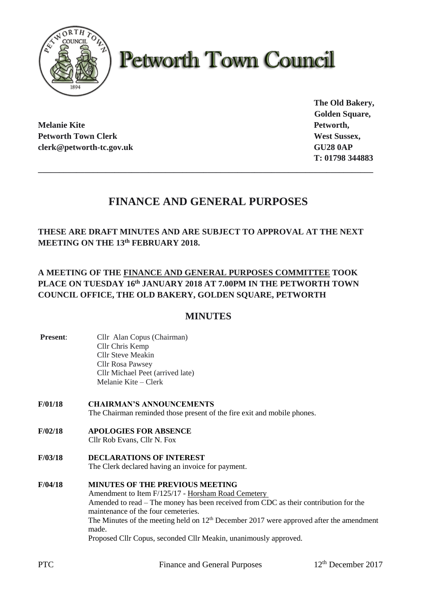

# **Petworth Town Council**

**Melanie Kite Petworth, Petworth Town Clerk West Sussex, West Sussex, West Sussex, West Sussex, West Sussex, West Sussex, West Sussex, West Sussex, West Sussex, West Sussex, West Sussex, West Sussex, West Sussex, West Sussex, West Sussex, West S clerk@petworth-tc.gov.uk GU28 0AP**

**The Old Bakery, Golden Square, T: 01798 344883**

# **FINANCE AND GENERAL PURPOSES**

**\_\_\_\_\_\_\_\_\_\_\_\_\_\_\_\_\_\_\_\_\_\_\_\_\_\_\_\_\_\_\_\_\_\_\_\_\_\_\_\_\_\_\_\_\_\_\_\_\_\_\_\_\_\_\_\_\_\_\_\_\_\_\_\_\_\_\_\_\_\_\_\_\_\_\_\_\_\_\_**

**THESE ARE DRAFT MINUTES AND ARE SUBJECT TO APPROVAL AT THE NEXT MEETING ON THE 13th FEBRUARY 2018.**

## **A MEETING OF THE FINANCE AND GENERAL PURPOSES COMMITTEE TOOK PLACE ON TUESDAY 16th JANUARY 2018 AT 7.00PM IN THE PETWORTH TOWN COUNCIL OFFICE, THE OLD BAKERY, GOLDEN SQUARE, PETWORTH**

## **MINUTES**

**Present:** Cllr Alan Copus (Chairman) Cllr Chris Kemp Cllr Steve Meakin Cllr Rosa Pawsey Cllr Michael Peet (arrived late) Melanie Kite – Clerk **F/01/18 CHAIRMAN'S ANNOUNCEMENTS** The Chairman reminded those present of the fire exit and mobile phones. **F/02/18 APOLOGIES FOR ABSENCE** Cllr Rob Evans, Cllr N. Fox **F/03/18 DECLARATIONS OF INTEREST** The Clerk declared having an invoice for payment. **F/04/18 MINUTES OF THE PREVIOUS MEETING** Amendment to Item F/125/17 - Horsham Road Cemetery Amended to read – The money has been received from CDC as their contribution for the maintenance of the four cemeteries. The Minutes of the meeting held on  $12<sup>th</sup>$  December 2017 were approved after the amendment made. Proposed Cllr Copus, seconded Cllr Meakin, unanimously approved.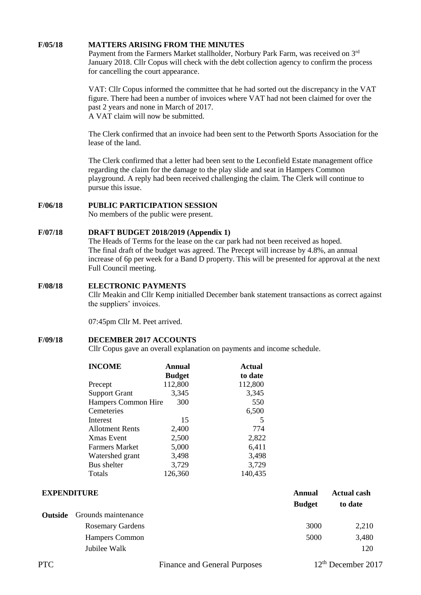#### **F/05/18 MATTERS ARISING FROM THE MINUTES**

Payment from the Farmers Market stallholder, Norbury Park Farm, was received on 3rd January 2018. Cllr Copus will check with the debt collection agency to confirm the process for cancelling the court appearance.

VAT: Cllr Copus informed the committee that he had sorted out the discrepancy in the VAT figure. There had been a number of invoices where VAT had not been claimed for over the past 2 years and none in March of 2017. A VAT claim will now be submitted.

The Clerk confirmed that an invoice had been sent to the Petworth Sports Association for the lease of the land.

The Clerk confirmed that a letter had been sent to the Leconfield Estate management office regarding the claim for the damage to the play slide and seat in Hampers Common playground. A reply had been received challenging the claim. The Clerk will continue to pursue this issue.

#### **F/06/18 PUBLIC PARTICIPATION SESSION**

No members of the public were present.

#### **F/07/18 DRAFT BUDGET 2018/2019 (Appendix 1)**

The Heads of Terms for the lease on the car park had not been received as hoped. The final draft of the budget was agreed. The Precept will increase by 4.8%, an annual increase of 6p per week for a Band D property. This will be presented for approval at the next Full Council meeting.

#### **F/08/18 ELECTRONIC PAYMENTS**

Cllr Meakin and Cllr Kemp initialled December bank statement transactions as correct against the suppliers' invoices.

07:45pm Cllr M. Peet arrived.

#### **F/09/18 DECEMBER 2017 ACCOUNTS**

Cllr Copus gave an overall explanation on payments and income schedule.

| <b>INCOME</b>              | <b>Annual</b> | <b>Actual</b> |
|----------------------------|---------------|---------------|
|                            | <b>Budget</b> | to date       |
| Precept                    | 112,800       | 112,800       |
| <b>Support Grant</b>       | 3,345         | 3,345         |
| <b>Hampers Common Hire</b> | 300           | 550           |
| Cemeteries                 |               | 6,500         |
| Interest                   | 15            | 5             |
| <b>Allotment Rents</b>     | 2,400         | 774           |
| Xmas Event                 | 2,500         | 2,822         |
| Farmers Market             | 5,000         | 6,411         |
| Watershed grant            | 3,498         | 3,498         |
| Bus shelter                | 3,729         | 3,729         |
| Totals                     | 126,360       | 140,435       |

| <b>EXPENDITURE</b> |                                    | Annual  | <b>Actual cash</b> |
|--------------------|------------------------------------|---------|--------------------|
|                    | <b>Budget</b>                      | to date |                    |
|                    | <b>Outside</b> Grounds maintenance |         |                    |
|                    | <b>Rosemary Gardens</b>            | 3000    | 2,210              |
|                    | Hampers Common                     | 5000    | 3,480              |
|                    | Jubilee Walk                       |         | 120                |
|                    |                                    |         |                    |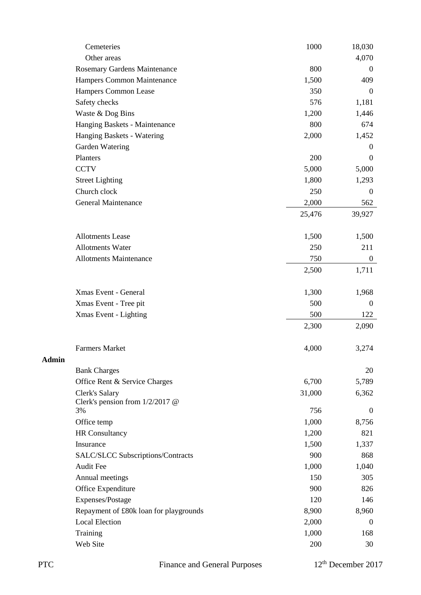|       | Cemeteries                             | 1000   | 18,030           |
|-------|----------------------------------------|--------|------------------|
|       | Other areas                            |        | 4,070            |
|       | Rosemary Gardens Maintenance           | 800    | $\boldsymbol{0}$ |
|       | Hampers Common Maintenance             | 1,500  | 409              |
|       | Hampers Common Lease                   | 350    | $\mathbf{0}$     |
|       | Safety checks                          | 576    | 1,181            |
|       | Waste & Dog Bins                       | 1,200  | 1,446            |
|       | Hanging Baskets - Maintenance          | 800    | 674              |
|       | Hanging Baskets - Watering             | 2,000  | 1,452            |
|       | Garden Watering                        |        | $\overline{0}$   |
|       | Planters                               | 200    | $\boldsymbol{0}$ |
|       | <b>CCTV</b>                            | 5,000  | 5,000            |
|       | <b>Street Lighting</b>                 | 1,800  | 1,293            |
|       | Church clock                           | 250    | $\boldsymbol{0}$ |
|       | General Maintenance                    | 2,000  | 562              |
|       |                                        | 25,476 | 39,927           |
|       |                                        |        |                  |
|       | <b>Allotments Lease</b>                | 1,500  | 1,500            |
|       | <b>Allotments Water</b>                | 250    | 211              |
|       | <b>Allotments Maintenance</b>          | 750    | $\overline{0}$   |
|       |                                        | 2,500  | 1,711            |
|       | Xmas Event - General                   | 1,300  | 1,968            |
|       | Xmas Event - Tree pit                  | 500    | $\mathbf{0}$     |
|       | Xmas Event - Lighting                  | 500    | 122              |
|       |                                        | 2,300  | 2,090            |
|       |                                        |        |                  |
| Admin | <b>Farmers Market</b>                  | 4,000  | 3,274            |
|       | <b>Bank Charges</b>                    |        | 20               |
|       | Office Rent & Service Charges          | 6,700  | 5,789            |
|       | Clerk's Salary                         | 31,000 | 6,362            |
|       | Clerk's pension from $1/2/2017$ @      |        |                  |
|       | 3%                                     | 756    | $\boldsymbol{0}$ |
|       | Office temp                            | 1,000  | 8,756            |
|       | <b>HR</b> Consultancy                  | 1,200  | 821              |
|       | Insurance                              | 1,500  | 1,337            |
|       | SALC/SLCC Subscriptions/Contracts      | 900    | 868              |
|       | <b>Audit Fee</b>                       | 1,000  | 1,040            |
|       | Annual meetings                        | 150    | 305              |
|       | Office Expenditure                     | 900    | 826              |
|       | Expenses/Postage                       | 120    | 146              |
|       | Repayment of £80k loan for playgrounds | 8,900  | 8,960            |
|       | <b>Local Election</b>                  | 2,000  | $\boldsymbol{0}$ |
|       | Training                               | 1,000  | 168              |
|       | Web Site                               | 200    | 30               |
|       |                                        |        |                  |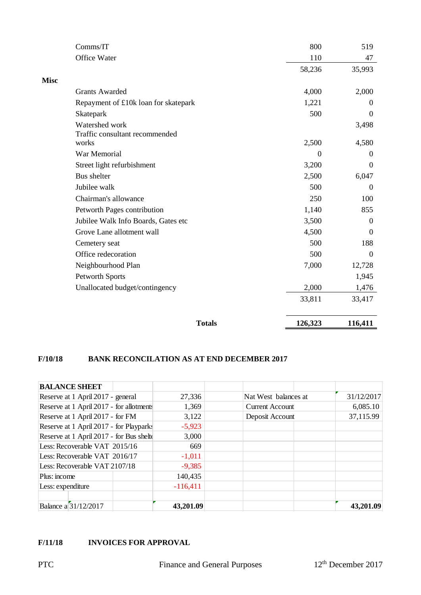|             | Comms/IT                                         | 800      | 519          |
|-------------|--------------------------------------------------|----------|--------------|
|             | Office Water                                     | 110      | 47           |
|             |                                                  | 58,236   | 35,993       |
| <b>Misc</b> |                                                  |          |              |
|             | <b>Grants Awarded</b>                            | 4,000    | 2,000        |
|             | Repayment of £10k loan for skatepark             | 1,221    | $\mathbf{0}$ |
|             | Skatepark                                        | 500      | $\Omega$     |
|             | Watershed work<br>Traffic consultant recommended |          | 3,498        |
|             | works                                            | 2,500    | 4,580        |
|             | War Memorial                                     | $\Omega$ | $\theta$     |
|             | Street light refurbishment                       | 3,200    | $\theta$     |
|             | Bus shelter                                      | 2,500    | 6,047        |
|             | Jubilee walk                                     | 500      | $\mathbf{0}$ |
|             | Chairman's allowance                             | 250      | 100          |
|             | Petworth Pages contribution                      | 1,140    | 855          |
|             | Jubilee Walk Info Boards, Gates etc              | 3,500    | $\theta$     |
|             | Grove Lane allotment wall                        | 4,500    | $\Omega$     |
|             | Cemetery seat                                    | 500      | 188          |
|             | Office redecoration                              | 500      | $\Omega$     |
|             | Neighbourhood Plan                               | 7,000    | 12,728       |
|             | Petworth Sports                                  |          | 1,945        |
|             | Unallocated budget/contingency                   | 2,000    | 1,476        |
|             |                                                  | 33,811   | 33,417       |
|             | <b>Totals</b>                                    | 126,323  | 116,411      |

#### **F/10/18 BANK RECONCILATION AS AT END DECEMBER 2017**

| <b>BALANCE SHEET</b>                     |            |                        |            |
|------------------------------------------|------------|------------------------|------------|
| Reserve at 1 April 2017 - general        | 27,336     | Nat West balances at   | 31/12/2017 |
| Reserve at 1 April 2017 - for allotments | 1,369      | <b>Current Account</b> | 6,085.10   |
| Reserve at 1 April 2017 - for FM         | 3,122      | Deposit Account        | 37,115.99  |
| Reserve at 1 April 2017 - for Playparks  | $-5,923$   |                        |            |
| Reserve at 1 April 2017 - for Bus shelt  | 3,000      |                        |            |
| Less: Recoverable VAT 2015/16            | 669        |                        |            |
| Less: Recoverable VAT 2016/17            | $-1,011$   |                        |            |
| Less: Recoverable VAT 2107/18            | $-9,385$   |                        |            |
| Plus: income                             | 140,435    |                        |            |
| Less: expenditure                        | $-116,411$ |                        |            |
|                                          |            |                        |            |
| Balance a 31/12/2017                     | 43,201.09  |                        | 43,201.09  |

#### **F/11/18 INVOICES FOR APPROVAL**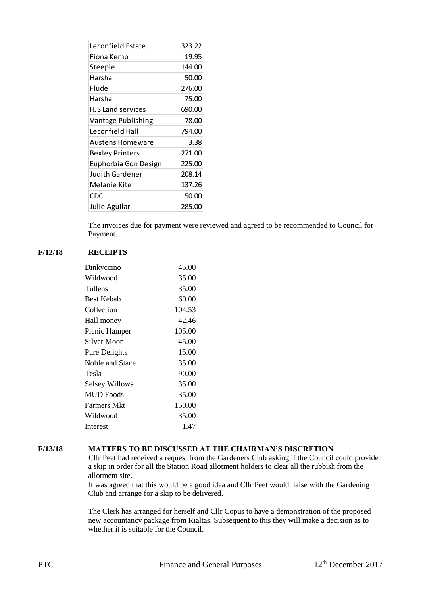| Leconfield Estate        | 323.22 |
|--------------------------|--------|
| Fiona Kemp               | 19.95  |
| Steeple                  | 144.00 |
| Harsha                   | 50.00  |
| Flude                    | 276.00 |
| Harsha                   | 75.00  |
| <b>HJS Land services</b> | 690.00 |
| Vantage Publishing       | 78.00  |
| Leconfield Hall          | 794.00 |
| Austens Homeware         | 3.38   |
| Bexley Printers          | 271.00 |
| Euphorbia Gdn Design     | 225.00 |
| Judith Gardener          | 208.14 |
| Melanie Kite             | 137.26 |
| <b>CDC</b>               | 50.00  |
| Julie Aguilar            | 285.00 |

The invoices due for payment were reviewed and agreed to be recommended to Council for Payment.

#### **F/12/18 RECEIPTS**

| Dinkyccino            | 45.00  |
|-----------------------|--------|
| Wildwood              | 35.00  |
| Tullens               | 35.00  |
| <b>Best Kebab</b>     | 60.00  |
| Collection            | 104.53 |
| Hall money            | 42.46  |
| Picnic Hamper         | 105.00 |
| Silver Moon           | 45.00  |
| Pure Delights         | 15.00  |
| Noble and Stace       | 35.00  |
| Tesla                 | 90.00  |
| <b>Selsey Willows</b> | 35.00  |
| <b>MUD</b> Foods      | 35.00  |
| <b>Farmers Mkt</b>    | 150.00 |
| Wildwood              | 35.00  |
| Interest              | 1.47   |

#### **F/13/18 MATTERS TO BE DISCUSSED AT THE CHAIRMAN'S DISCRETION**

Cllr Peet had received a request from the Gardeners Club asking if the Council could provide a skip in order for all the Station Road allotment holders to clear all the rubbish from the allotment site.

It was agreed that this would be a good idea and Cllr Peet would liaise with the Gardening Club and arrange for a skip to be delivered.

The Clerk has arranged for herself and Cllr Copus to have a demonstration of the proposed new accountancy package from Rialtas. Subsequent to this they will make a decision as to whether it is suitable for the Council.